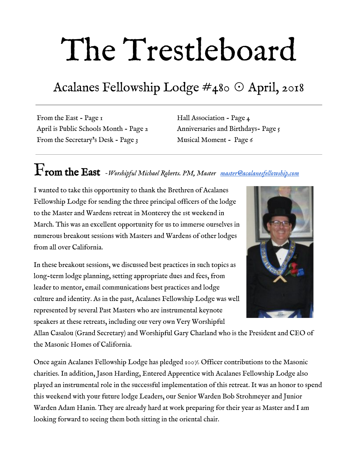# The Trestleboard

### Acalanes Fellowship Lodge #480 ☉ April, 2018

From the East - Page 1 April is Public Schools Month - Page 2 From the Secretary's Desk - Page 3

Hall Association - Page 4 Anniversaries and Birthdays- Page 5 Musical Moment - Page 6

## From the East *-Worshipful Michael Roberts. PM, Master [master@acalanesfellowship.com](mailto:master@acalanesfellowship.com)*

I wanted to take this opportunity to thank the Brethren of Acalanes Fellowship Lodge for sending the three principal officers of the lodge to the Master and Wardens retreat in Monterey the 1st weekend in March. This was an excellent opportunity for us to immerse ourselves in numerous breakout sessions with Masters and Wardens of other lodges from all over California.

In these breakout sessions, we discussed best practices in such topics as long-term lodge planning, setting appropriate dues and fees, from leader to mentor, email communications best practices and lodge culture and identity. As in the past, Acalanes Fellowship Lodge was well represented by several Past Masters who are instrumental keynote speakers at these retreats, including our very own Very Worshipful



Allan Casalou (Grand Secretary) and Worshipful Gary Charland who is the President and CEO of the Masonic Homes of California.

Once again Acalanes Fellowship Lodge has pledged 100% Officer contributions to the Masonic charities. In addition, Jason Harding, Entered Apprentice with Acalanes Fellowship Lodge also played an instrumental role in the successful implementation of this retreat. It was an honor to spend this weekend with your future lodge Leaders, our Senior Warden Bob Strohmeyer and Junior Warden Adam Hanin. They are already hard at work preparing for their year as Master and I am looking forward to seeing them both sitting in the oriental chair.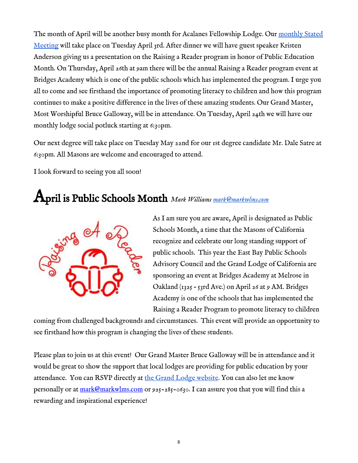The month of April will be another busy month for Acalanes Fellowship Lodge. Our [monthly Stated](https://www.eventbrite.com/custombutton?eid=41095245987) [Meeting](https://www.eventbrite.com/custombutton?eid=41095245987) will take place on Tuesday April 3rd. After dinner we will have guest speaker Kristen Anderson giving us a presentation on the Raising a Reader program in honor of Public Education Month. On Thursday, April 26th at 9am there will be the annual Raising a Reader program event at Bridges Academy which is one of the public schools which has implemented the program. I urge you all to come and see firsthand the importance of promoting literacy to children and how this program continues to make a positive difference in the lives of these amazing students. Our Grand Master, Most Worshipful Bruce Galloway, will be in attendance. On Tuesday, April 24th we will have our monthly lodge social potluck starting at 6:30pm.

Our next degree will take place on Tuesday May 22nd for our 1st degree candidate Mr. Dale Satre at 6:30pm. All Masons are welcome and encouraged to attend.

I look forward to seeing you all soon!

#### April is Public Schools Month *Mark Williams [mark@markwlms.com](mailto:mark@markwlms.com)*



As I am sure you are aware, April is designated as Public Schools Month, a time that the Masons of California recognize and celebrate our long standing support of public schools. This year the East Bay Public Schools Advisory Council and the Grand Lodge of California are sponsoring an event at Bridges Academy at Melrose in Oakland (1325 – 53rd Ave.) on April 26 at 9 AM. Bridges Academy is one of the schools that has implemented the Raising a Reader Program to promote literacy to children

coming from challenged backgrounds and circumstances. This event will provide an opportunity to see firsthand how this program is changing the lives of these students.

Please plan to join us at this event! Our Grand Master Bruce Galloway will be in attendance and it would be great to show the support that local lodges are providing for public education by your attendance. You can RSVP directly at [the Grand Lodge website.](http://www.freemason.org/newsEvents/article.htm?id=11064) You can also let me know personally or at [mark@markwlms.com](mailto:mark@markwlms.com) or 925-285-0630. I can assure you that you will find this a rewarding and inspirational experience!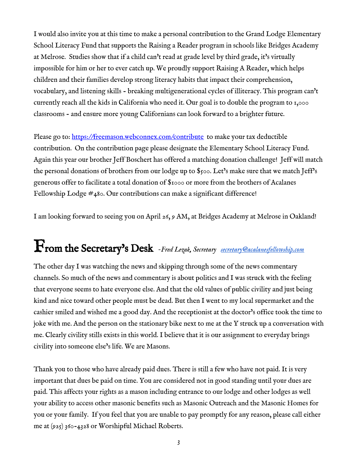I would also invite you at this time to make a personal contribution to the Grand Lodge Elementary School Literacy Fund that supports the Raising a Reader program in schools like Bridges Academy at Melrose. Studies show that if a child can't read at grade level by third grade, it's virtually impossible for him or her to ever catch up. We proudly support Raising A Reader, which helps children and their families develop strong literacy habits that impact their comprehension, vocabulary, and listening skills - breaking multigenerational cycles of illiteracy. This program can't currently reach all the kids in California who need it. Our goal is to double the program to 1,000 classrooms - and ensure more young Californians can look forward to a brighter future.

Please go to: <https://freemason.webconnex.com/contribute>to make your tax deductible contribution. On the contribution page please designate the Elementary School Literacy Fund. Again this year our brother Jeff Boschert has offered a matching donation challenge! Jeff will match the personal donations of brothers from our lodge up to \$500. Let's make sure that we match Jeff's generous offer to facilitate a total donation of \$1000 or more from the brothers of Acalanes Fellowship Lodge #480. Our contributions can make a significant difference!

I am looking forward to seeing you on April 26, 9 AM, at Bridges Academy at Melrose in Oakland!

## From the Secretary's Desk *-Fred Lezak, Secretary [secretary@acalanesfellowship.com](mailto:secretary@acalanesfellowship.com)*

The other day I was watching the news and skipping through some of the news commentary channels. So much of the news and commentary is about politics and I was struck with the feeling that everyone seems to hate everyone else. And that the old values of public civility and just being kind and nice toward other people must be dead. But then I went to my local supermarket and the cashier smiled and wished me a good day. And the receptionist at the doctor's office took the time to joke with me. And the person on the stationary bike next to me at the Y struck up a conversation with me. Clearly civility stills exists in this world. I believe that it is our assignment to everyday brings civility into someone else's life. We are Masons.

Thank you to those who have already paid dues. There is still a few who have not paid. It is very important that dues be paid on time. You are considered not in good standing until your dues are paid. This affects your rights as a mason including entrance to our lodge and other lodges as well your ability to access other masonic benefits such as Masonic Outreach and the Masonic Homes for you or your family. If you feel that you are unable to pay promptly for any reason, please call either me at (925) 360-4328 or Worshipful Michael Roberts.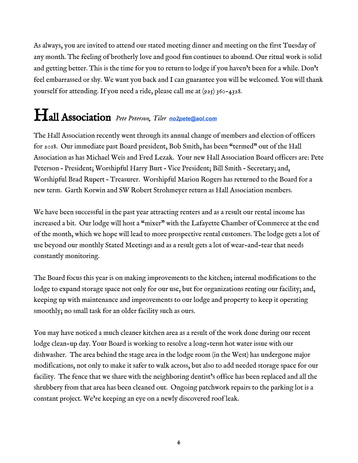As always, you are invited to attend our stated meeting dinner and meeting on the first Tuesday of any month. The feeling of brotherly love and good fun continues to abound. Our ritual work is solid and getting better. This is the time for you to return to lodge if you haven't been for a while. Don't feel embarrassed or shy. We want you back and I can guarantee you will be welcomed. You will thank yourself for attending. If you need a ride, please call me at (925) 360-4328.

## Hall Association *Pete Peterson, Tiler [no2pete@aol.com](mailto:no2pete@aol.com)*

The Hall Association recently went through its annual change of members and election of officers for 2018. Our immediate past Board president, Bob Smith, has been "termed" out of the Hall Association as has Michael Weis and Fred Lezak. Your new Hall Association Board officers are: Pete Peterson – President; Worshipful Harry Burt – Vice President; Bill Smith – Secretary; and, Worshipful Brad Rupert – Treasurer. Worshipful Marion Rogers has returned to the Board for a new term. Garth Korwin and SW Robert Strohmeyer return as Hall Association members.

We have been successful in the past year attracting renters and as a result our rental income has increased a bit. Our lodge will host a "mixer" with the Lafayette Chamber of Commerce at the end of the month, which we hope will lead to more prospective rental customers. The lodge gets a lot of use beyond our monthly Stated Meetings and as a result gets a lot of wear-and-tear that needs constantly monitoring.

The Board focus this year is on making improvements to the kitchen; internal modifications to the lodge to expand storage space not only for our use, but for organizations renting our facility; and, keeping up with maintenance and improvements to our lodge and property to keep it operating smoothly; no small task for an older facility such as ours.

You may have noticed a much cleaner kitchen area as a result of the work done during our recent lodge clean-up day. Your Board is working to resolve a long-term hot water issue with our dishwasher. The area behind the stage area in the lodge room (in the West) has undergone major modifications, not only to make it safer to walk across, but also to add needed storage space for our facility. The fence that we share with the neighboring dentist's office has been replaced and all the shrubbery from that area has been cleaned out. Ongoing patchwork repairs to the parking lot is a constant project. We're keeping an eye on a newly discovered roof leak.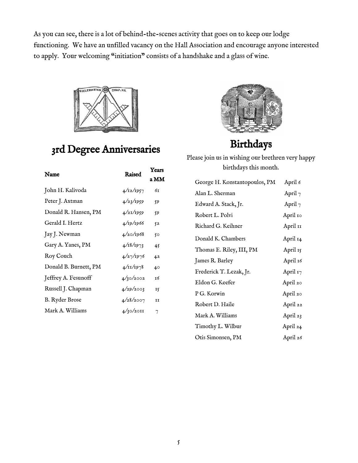As you can see, there is a lot of behind-the-scenes activity that goes on to keep our lodge functioning. We have an unfilled vacancy on the Hall Association and encourage anyone interested to apply. Your welcoming "initiation" consists of a handshake and a glass of wine.



#### 3rd Degree Anniversaries

| Name                  | Raised    | Years |
|-----------------------|-----------|-------|
|                       |           | a MM  |
| John H. Kalivoda      | 4/12/1957 | бт    |
| Peter J. Axtman       | 4/23/1959 | 59    |
| Donald R. Hansen, PM  | 4/21/1959 | 59    |
| Gerald I. Hertz       | 4/19/1966 | 52    |
| Jay J. Newman         | 4/20/1968 | 50    |
| Gary A. Yanes, PM     | 4/18/1973 | 45    |
| Roy Couch             | 4/27/1976 | 42    |
| Donald B. Burnett, PM | 4/11/1978 | 40    |
| Jeffrey A. Fesunoff   | 4/30/2002 | 16    |
| Russell J. Chapman    | 4/29/2003 | 15    |
| <b>B.</b> Ryder Brose | 4/28/2007 | II    |
| Mark A. Williams      | 4/30/2011 | 7     |



#### Birthdays

Please join us in wishing our brethren very happy birthdays this month.

| George H. Konstantopoulos, PM | April 6   |
|-------------------------------|-----------|
| Alan L. Sherman               | April $7$ |
| Edward A. Stack, Jr.          | April $7$ |
| Robert L. Polvi               | April 10  |
| Richard G. Keihner            | April 11  |
| Donald K. Chambers            | April 14  |
| Thomas E. Riley, III, PM      | April 15  |
| James R. Barley               | April 16  |
| Frederick T. Lezak, Jr.       | April 17  |
| Eldon G. Keefer               | April 20  |
| P G. Korwin                   | April 20  |
| Robert D. Haile               | April 22  |
| Mark A. Williams              | April 23  |
| Timothy L. Wilbur             | April 24  |
| Otis Simonsen, PM             | April 26  |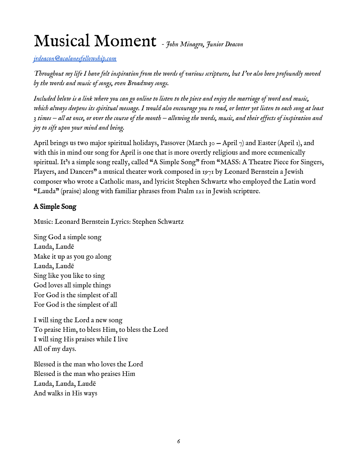## Musical Moment *- John Minagro, Junior Deacon*

*[jrdeacon@acalanesfellowship.com](mailto:jrdeacon@acalanesfellowship.com)*

*Throughout my life I have felt inspiration from the words of various scriptures, but I've also been profoundly moved by the words and music of songs, even Broadway songs.*

*Included below is a link where you can go online to listen to the piece and enjoy the marriage of word and music, which always deepens its spiritual message. I would also encourage you to read, or better yet listen to each song at least 3 times — all at once, or over the course of the month — allowing the words, music, and their effects of inspiration and joy to sift upon your mind and being.*

April brings us two major spiritual holidays, Passover (March 30 – April 7) and Easter (April 1), and with this in mind our song for April is one that is more overtly religious and more ecumenically spiritual. It's a simple song really, called "A Simple Song" from "MASS: A Theatre Piece for Singers, Players, and Dancers" a musical theater work composed in 1971 by Leonard Bernstein a Jewish composer who wrote a Catholic mass, and lyricist Stephen Schwartz who employed the Latin word "Lauda" (praise) along with familiar phrases from Psalm 121 in Jewish scripture.

#### A Simple Song

Music: Leonard Bernstein Lyrics: Stephen Schwartz

Sing God a simple song Lauda, Laudē Make it up as you go along Lauda, Laudē Sing like you like to sing God loves all simple things For God is the simplest of all For God is the simplest of all

I will sing the Lord a new song To praise Him, to bless Him, to bless the Lord I will sing His praises while I live All of my days.

Blessed is the man who loves the Lord Blessed is the man who praises Him Lauda, Lauda, Laudē And walks in His ways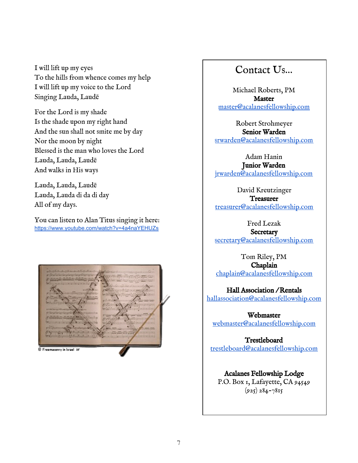I will lift up my eyes To the hills from whence comes my help I will lift up my voice to the Lord Singing Lauda, Laudē

For the Lord is my shade Is the shade upon my right hand And the sun shall not smite me by day Nor the moon by night Blessed is the man who loves the Lord Lauda, Lauda, Laudē And walks in His ways

Lauda, Lauda, Laudē Lauda, Lauda di da di day All of my days.

You can listen to Alan Titus singing it here: <https://www.youtube.com/watch?v=4a4naYEHUZs>



#### Contact Us…

Michael Roberts, PM Master [master@acalanesfellowship.com](mailto:master@acalanesfellowship.com)

Robert Strohmeyer Senior Warden [srwarden@acalanesfellowship.com](mailto:srwarden@acalanesfellowship.com)

Adam Hanin Junior Warden [jrwarden@acalanesfellowship.com](mailto:jrwarden@acalanesfellowship.com)

David Kreutzinger **Treasurer** [treasurer@acalanesfellowship.com](mailto:treasurer@acalanesfellowship.com)

Fred Lezak

**Secretary** [secretary@acalanesfellowship.com](mailto:secretary@acalanesfellowship.com)

Tom Riley, PM Chaplain [chaplain@acalanesfellowship.com](mailto:chaplain@acalanesfellowship.com)

Hall Association / Rentals [hallassociation@acalanesfellowship.com](mailto:hallassociation@acalanesfellowship.com)

Webmaster [webmaster@acalanesfellowship.com](mailto:webmaster@acalanesfellowship.com)

Trestleboard [trestleboard@acalanesfellowship.com](mailto:trestleboard@acalanesfellowship.com)

Acalanes Fellowship Lodge P.O. Box 1, Lafayette, CA 94549  $(925) 284 - 7815$